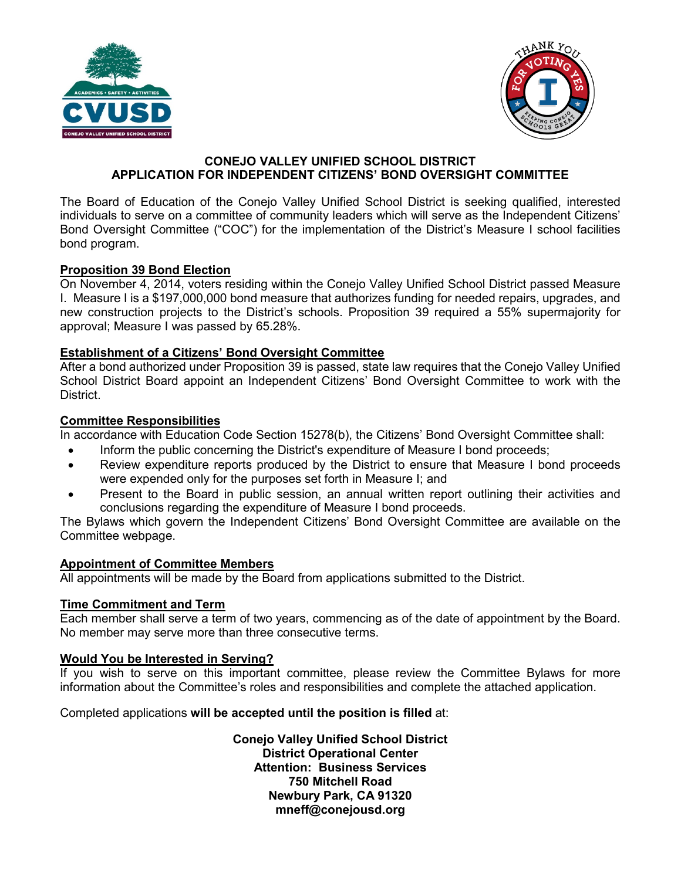



## **CONEJO VALLEY UNIFIED SCHOOL DISTRICT APPLICATION FOR INDEPENDENT CITIZENS' BOND OVERSIGHT COMMITTEE**

The Board of Education of the Conejo Valley Unified School District is seeking qualified, interested individuals to serve on a committee of community leaders which will serve as the Independent Citizens' Bond Oversight Committee ("COC") for the implementation of the District's Measure I school facilities bond program.

# **Proposition 39 Bond Election**

On November 4, 2014, voters residing within the Conejo Valley Unified School District passed Measure I. Measure I is a \$197,000,000 bond measure that authorizes funding for needed repairs, upgrades, and new construction projects to the District's schools. Proposition 39 required a 55% supermajority for approval; Measure I was passed by 65.28%.

# **Establishment of a Citizens' Bond Oversight Committee**

After a bond authorized under Proposition 39 is passed, state law requires that the Conejo Valley Unified School District Board appoint an Independent Citizens' Bond Oversight Committee to work with the District.

## **Committee Responsibilities**

In accordance with Education Code Section 15278(b), the Citizens' Bond Oversight Committee shall:

- Inform the public concerning the District's expenditure of Measure I bond proceeds;
- Review expenditure reports produced by the District to ensure that Measure I bond proceeds were expended only for the purposes set forth in Measure I; and
- Present to the Board in public session, an annual written report outlining their activities and conclusions regarding the expenditure of Measure I bond proceeds.

The Bylaws which govern the Independent Citizens' Bond Oversight Committee are available on the Committee webpage.

## **Appointment of Committee Members**

All appointments will be made by the Board from applications submitted to the District.

# **Time Commitment and Term**

Each member shall serve a term of two years, commencing as of the date of appointment by the Board. No member may serve more than three consecutive terms.

## **Would You be Interested in Serving?**

If you wish to serve on this important committee, please review the Committee Bylaws for more information about the Committee's roles and responsibilities and complete the attached application.

Completed applications **will be accepted until the position is filled** at:

**Conejo Valley Unified School District District Operational Center Attention: Business Services 750 Mitchell Road Newbury Park, CA 91320 mneff@conejousd.org**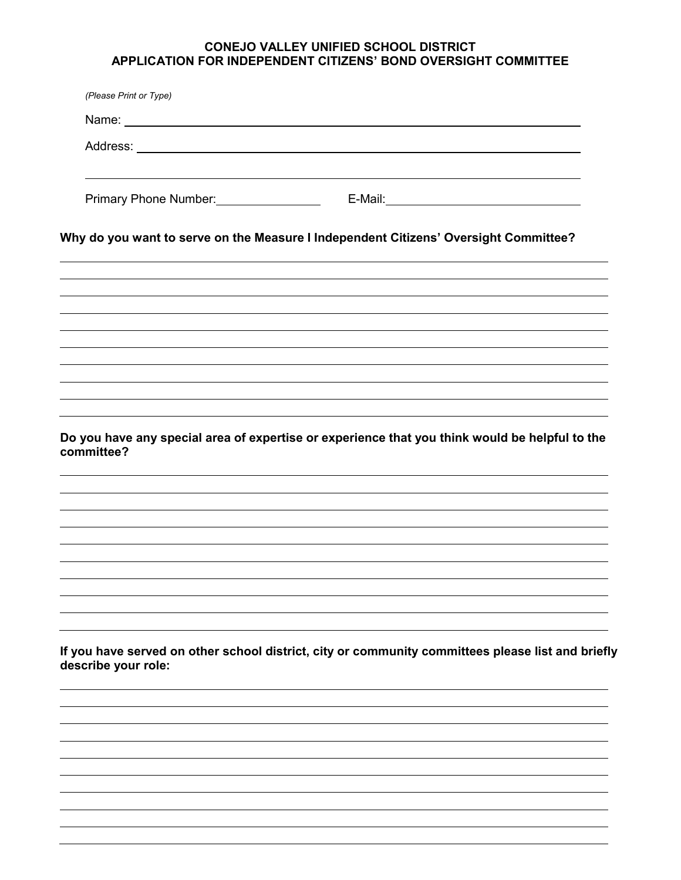# **CONEJO VALLEY UNIFIED SCHOOL DISTRICT APPLICATION FOR INDEPENDENT CITIZENS' BOND OVERSIGHT COMMITTEE**

| (Please Print or Type) |                                                                                                   |
|------------------------|---------------------------------------------------------------------------------------------------|
|                        |                                                                                                   |
|                        |                                                                                                   |
|                        |                                                                                                   |
|                        | Why do you want to serve on the Measure I Independent Citizens' Oversight Committee?              |
|                        |                                                                                                   |
|                        |                                                                                                   |
|                        |                                                                                                   |
| committee?             | Do you have any special area of expertise or experience that you think would be helpful to the    |
|                        |                                                                                                   |
|                        |                                                                                                   |
|                        |                                                                                                   |
|                        |                                                                                                   |
| describe your role:    | If you have served on other school district, city or community committees please list and briefly |
|                        |                                                                                                   |
|                        |                                                                                                   |
|                        |                                                                                                   |